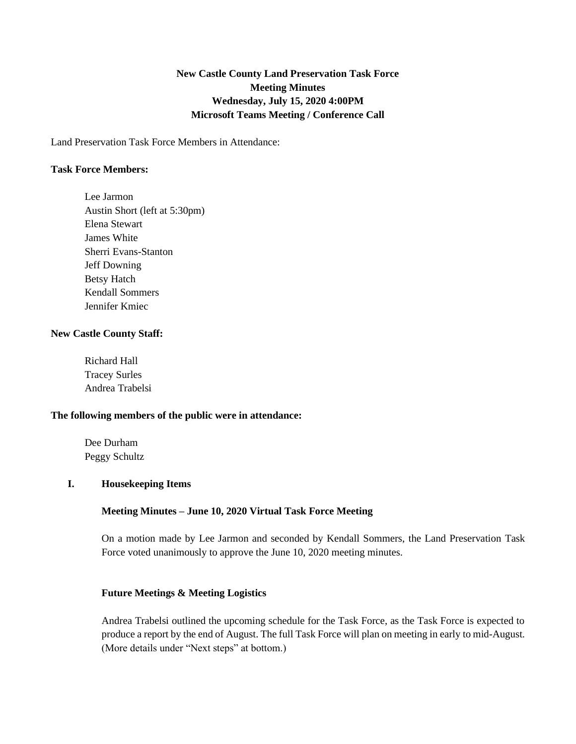# **New Castle County Land Preservation Task Force Meeting Minutes Wednesday, July 15, 2020 4:00PM Microsoft Teams Meeting / Conference Call**

Land Preservation Task Force Members in Attendance:

## **Task Force Members:**

Lee Jarmon Austin Short (left at 5:30pm) Elena Stewart James White Sherri Evans-Stanton Jeff Downing Betsy Hatch Kendall Sommers Jennifer Kmiec

### **New Castle County Staff:**

Richard Hall Tracey Surles Andrea Trabelsi

## **The following members of the public were in attendance:**

Dee Durham Peggy Schultz

#### **I. Housekeeping Items**

# **Meeting Minutes – June 10, 2020 Virtual Task Force Meeting**

On a motion made by Lee Jarmon and seconded by Kendall Sommers, the Land Preservation Task Force voted unanimously to approve the June 10, 2020 meeting minutes.

#### **Future Meetings & Meeting Logistics**

Andrea Trabelsi outlined the upcoming schedule for the Task Force, as the Task Force is expected to produce a report by the end of August. The full Task Force will plan on meeting in early to mid-August. (More details under "Next steps" at bottom.)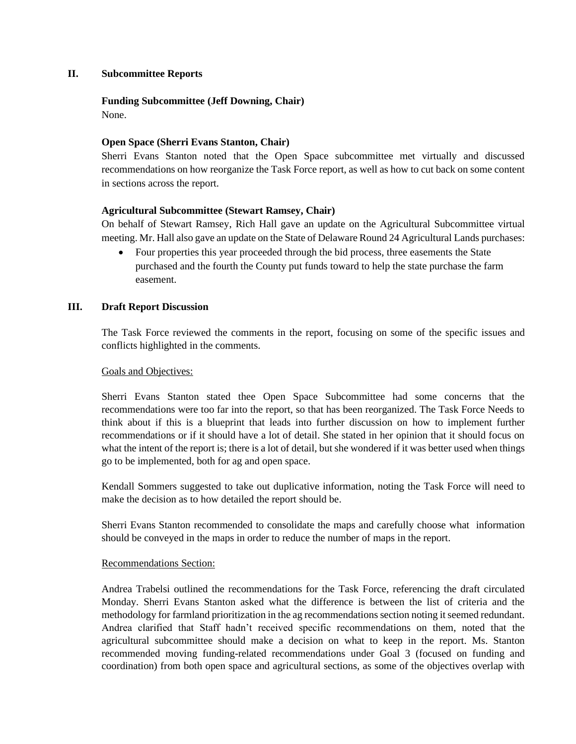# **II. Subcommittee Reports**

# **Funding Subcommittee (Jeff Downing, Chair)**

None.

# **Open Space (Sherri Evans Stanton, Chair)**

Sherri Evans Stanton noted that the Open Space subcommittee met virtually and discussed recommendations on how reorganize the Task Force report, as well as how to cut back on some content in sections across the report.

# **Agricultural Subcommittee (Stewart Ramsey, Chair)**

On behalf of Stewart Ramsey, Rich Hall gave an update on the Agricultural Subcommittee virtual meeting. Mr. Hall also gave an update on the State of Delaware Round 24 Agricultural Lands purchases:

• Four properties this year proceeded through the bid process, three easements the State purchased and the fourth the County put funds toward to help the state purchase the farm easement.

# **III. Draft Report Discussion**

The Task Force reviewed the comments in the report, focusing on some of the specific issues and conflicts highlighted in the comments.

# Goals and Objectives:

Sherri Evans Stanton stated thee Open Space Subcommittee had some concerns that the recommendations were too far into the report, so that has been reorganized. The Task Force Needs to think about if this is a blueprint that leads into further discussion on how to implement further recommendations or if it should have a lot of detail. She stated in her opinion that it should focus on what the intent of the report is; there is a lot of detail, but she wondered if it was better used when things go to be implemented, both for ag and open space.

Kendall Sommers suggested to take out duplicative information, noting the Task Force will need to make the decision as to how detailed the report should be.

Sherri Evans Stanton recommended to consolidate the maps and carefully choose what information should be conveyed in the maps in order to reduce the number of maps in the report.

# Recommendations Section:

Andrea Trabelsi outlined the recommendations for the Task Force, referencing the draft circulated Monday. Sherri Evans Stanton asked what the difference is between the list of criteria and the methodology for farmland prioritization in the ag recommendations section noting it seemed redundant. Andrea clarified that Staff hadn't received specific recommendations on them, noted that the agricultural subcommittee should make a decision on what to keep in the report. Ms. Stanton recommended moving funding-related recommendations under Goal 3 (focused on funding and coordination) from both open space and agricultural sections, as some of the objectives overlap with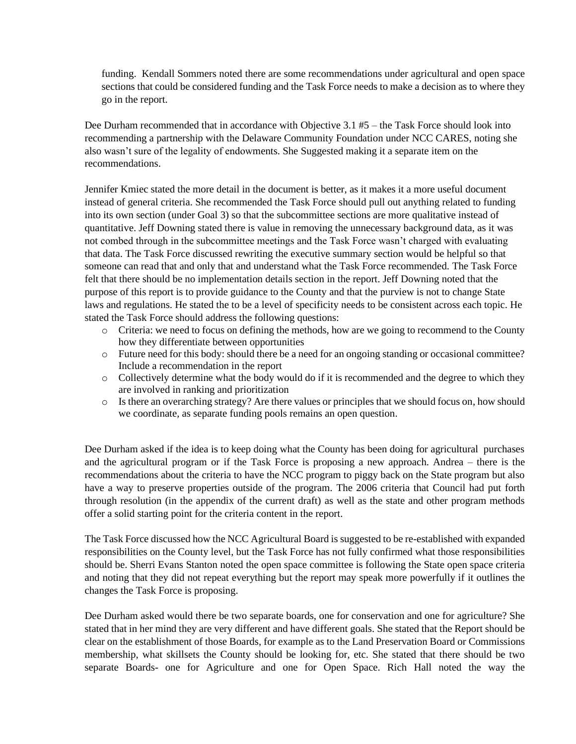funding. Kendall Sommers noted there are some recommendations under agricultural and open space sections that could be considered funding and the Task Force needs to make a decision as to where they go in the report.

Dee Durham recommended that in accordance with Objective 3.1 #5 – the Task Force should look into recommending a partnership with the Delaware Community Foundation under NCC CARES, noting she also wasn't sure of the legality of endowments. She Suggested making it a separate item on the recommendations.

Jennifer Kmiec stated the more detail in the document is better, as it makes it a more useful document instead of general criteria. She recommended the Task Force should pull out anything related to funding into its own section (under Goal 3) so that the subcommittee sections are more qualitative instead of quantitative. Jeff Downing stated there is value in removing the unnecessary background data, as it was not combed through in the subcommittee meetings and the Task Force wasn't charged with evaluating that data. The Task Force discussed rewriting the executive summary section would be helpful so that someone can read that and only that and understand what the Task Force recommended. The Task Force felt that there should be no implementation details section in the report. Jeff Downing noted that the purpose of this report is to provide guidance to the County and that the purview is not to change State laws and regulations. He stated the to be a level of specificity needs to be consistent across each topic. He stated the Task Force should address the following questions:

- o Criteria: we need to focus on defining the methods, how are we going to recommend to the County how they differentiate between opportunities
- o Future need for this body: should there be a need for an ongoing standing or occasional committee? Include a recommendation in the report
- o Collectively determine what the body would do if it is recommended and the degree to which they are involved in ranking and prioritization
- o Is there an overarching strategy? Are there values or principles that we should focus on, how should we coordinate, as separate funding pools remains an open question.

Dee Durham asked if the idea is to keep doing what the County has been doing for agricultural purchases and the agricultural program or if the Task Force is proposing a new approach. Andrea – there is the recommendations about the criteria to have the NCC program to piggy back on the State program but also have a way to preserve properties outside of the program. The 2006 criteria that Council had put forth through resolution (in the appendix of the current draft) as well as the state and other program methods offer a solid starting point for the criteria content in the report.

The Task Force discussed how the NCC Agricultural Board is suggested to be re-established with expanded responsibilities on the County level, but the Task Force has not fully confirmed what those responsibilities should be. Sherri Evans Stanton noted the open space committee is following the State open space criteria and noting that they did not repeat everything but the report may speak more powerfully if it outlines the changes the Task Force is proposing.

Dee Durham asked would there be two separate boards, one for conservation and one for agriculture? She stated that in her mind they are very different and have different goals. She stated that the Report should be clear on the establishment of those Boards, for example as to the Land Preservation Board or Commissions membership, what skillsets the County should be looking for, etc. She stated that there should be two separate Boards- one for Agriculture and one for Open Space. Rich Hall noted the way the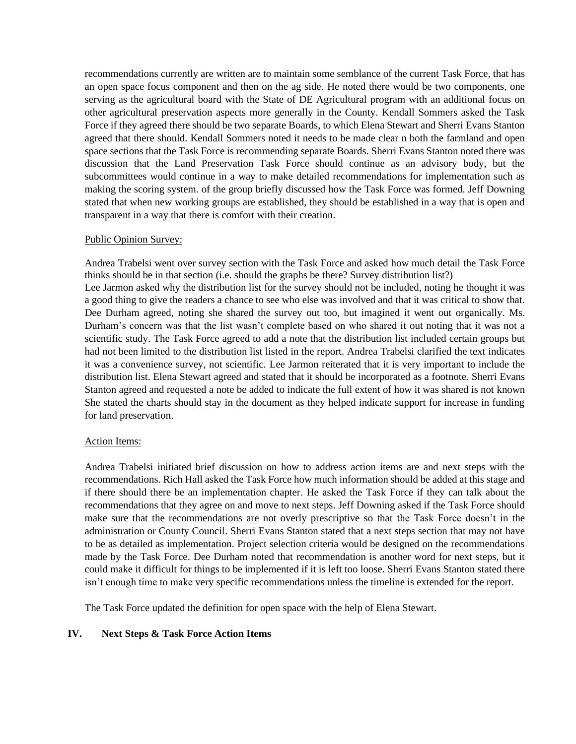recommendations currently are written are to maintain some semblance of the current Task Force, that has an open space focus component and then on the ag side. He noted there would be two components, one serving as the agricultural board with the State of DE Agricultural program with an additional focus on other agricultural preservation aspects more generally in the County. Kendall Sommers asked the Task Force if they agreed there should be two separate Boards, to which Elena Stewart and Sherri Evans Stanton agreed that there should. Kendall Sommers noted it needs to be made clear n both the farmland and open space sections that the Task Force is recommending separate Boards. Sherri Evans Stanton noted there was discussion that the Land Preservation Task Force should continue as an advisory body, but the subcommittees would continue in a way to make detailed recommendations for implementation such as making the scoring system. of the group briefly discussed how the Task Force was formed. Jeff Downing stated that when new working groups are established, they should be established in a way that is open and transparent in a way that there is comfort with their creation.

### Public Opinion Survey:

Andrea Trabelsi went over survey section with the Task Force and asked how much detail the Task Force thinks should be in that section (i.e. should the graphs be there? Survey distribution list?) Lee Jarmon asked why the distribution list for the survey should not be included, noting he thought it was a good thing to give the readers a chance to see who else was involved and that it was critical to show that. Dee Durham agreed, noting she shared the survey out too, but imagined it went out organically. Ms. Durham's concern was that the list wasn't complete based on who shared it out noting that it was not a scientific study. The Task Force agreed to add a note that the distribution list included certain groups but had not been limited to the distribution list listed in the report. Andrea Trabelsi clarified the text indicates it was a convenience survey, not scientific. Lee Jarmon reiterated that it is very important to include the distribution list. Elena Stewart agreed and stated that it should be incorporated as a footnote. Sherri Evans Stanton agreed and requested a note be added to indicate the full extent of how it was shared is not known She stated the charts should stay in the document as they helped indicate support for increase in funding for land preservation.

# Action Items:

Andrea Trabelsi initiated brief discussion on how to address action items are and next steps with the recommendations. Rich Hall asked the Task Force how much information should be added at this stage and if there should there be an implementation chapter. He asked the Task Force if they can talk about the recommendations that they agree on and move to next steps. Jeff Downing asked if the Task Force should make sure that the recommendations are not overly prescriptive so that the Task Force doesn't in the administration or County Council. Sherri Evans Stanton stated that a next steps section that may not have to be as detailed as implementation. Project selection criteria would be designed on the recommendations made by the Task Force. Dee Durham noted that recommendation is another word for next steps, but it could make it difficult for things to be implemented if it is left too loose. Sherri Evans Stanton stated there isn't enough time to make very specific recommendations unless the timeline is extended for the report.

The Task Force updated the definition for open space with the help of Elena Stewart.

# **IV. Next Steps & Task Force Action Items**